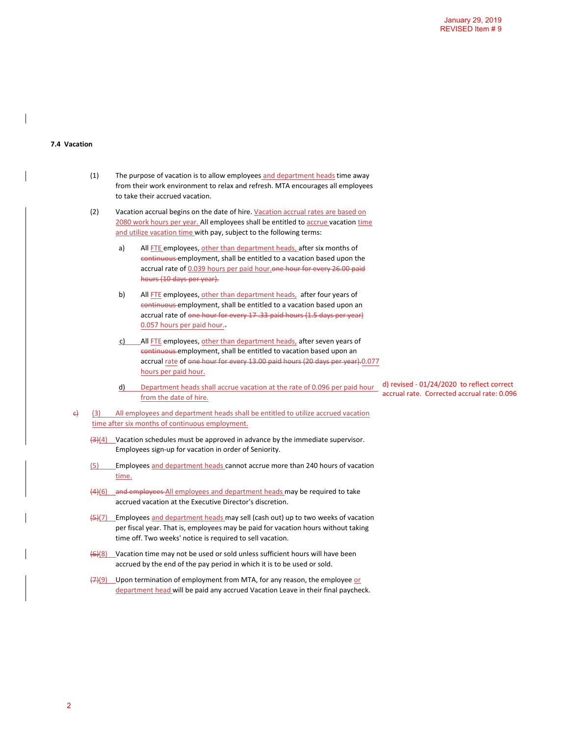## **7.4 Vacation**

| (1) | The purpose of vacation is to allow employees and department heads time away   |
|-----|--------------------------------------------------------------------------------|
|     | from their work environment to relax and refresh. MTA encourages all employees |
|     | to take their accrued vacation.                                                |

- (2) Vacation accrual begins on the date of hire. Vacation accrual rates are based on 2080 work hours per year. All employees shall be entitled to accrue vacation time and utilize vacation time with pay, subject to the following terms:
	- a) All FTE employees, other than department heads, after six months of continuous employment, shall be entitled to a vacation based upon the accrual rate of 0.039 hours per paid hour.one hour for every 26.00 paid hours (10 days per year).
	- b) All FTE employees, other than department heads, after four years of continuous employment, shall be entitled to a vacation based upon an accrual rate of one hour for every 17 .33 paid hours (1.5 days per year) 0.057 hours per paid hour..
	- c) All FTE employees, other than department heads, after seven years of continuous employment, shall be entitled to vacation based upon an accrual rate of one hour for every 13.00 paid hours (20 days per year).0.077 hours per paid hour.
	- d) Department heads shall accrue vacation at the rate of 0.096 per paid hour from the date of hire. d) revised - 01/24/2020 to reflect correct accrual rate. Corrected accrual rate: 0.096
- $\theta$  (3) All employees and department heads shall be entitled to utilize accrued vacation time after six months of continuous employment.
	- $\frac{12}{4}$  Vacation schedules must be approved in advance by the immediate supervisor. Employees sign-up for vacation in order of Seniority.
	- (5) Employees and department heads cannot accrue more than 240 hours of vacation time.
	- (4)(6) and employees All employees and department heads may be required to take accrued vacation at the Executive Director's discretion.
	- $\left(\frac{1}{2}\right)$ (7) Employees and department heads may sell (cash out) up to two weeks of vacation per fiscal year. That is, employees may be paid for vacation hours without taking time off. Two weeks' notice is required to sell vacation.
	- (6)(8) Vacation time may not be used or sold unless sufficient hours will have been accrued by the end of the pay period in which it is to be used or sold.
	- (7)(9) Upon termination of employment from MTA, for any reason, the employee or department head will be paid any accrued Vacation Leave in their final paycheck.